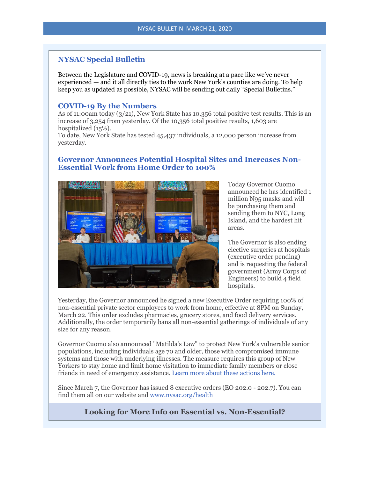# **NYSAC Special Bulletin**

Between the Legislature and COVID-19, news is breaking at a pace like we've never experienced — and it all directly ties to the work New York's counties are doing. To help keep you as updated as possible, NYSAC will be sending out daily "Special Bulletins."

### **COVID-19 By the Numbers**

As of 11:00am today  $(3/21)$ , New York State has 10,356 total positive test results. This is an increase of 3,254 from yesterday. Of the 10,356 total positive results, 1,603 are hospitalized (15%).

To date, New York State has tested 45,437 individuals, a 12,000 person increase from yesterday.

## **Governor Announces Potential Hospital Sites and Increases Non-Essential Work from Home Order to 100%**



Today Governor Cuomo announced he has identified 1 million N95 masks and will be purchasing them and sending them to NYC, Long Island, and the hardest hit areas.

The Governor is also ending elective surgeries at hospitals (executive order pending) and is requesting the federal government (Army Corps of Engineers) to build 4 field hospitals.

Yesterday, the Governor announced he signed a new Executive Order requiring 100% of non-essential private sector employees to work from home, effective at 8PM on Sunday, March 22. This order excludes pharmacies, grocery stores, and food delivery services. Additionally, the order temporarily bans all non-essential gatherings of individuals of any size for any reason.

Governor Cuomo also announced "Matilda's Law" to protect New York's vulnerable senior populations, including individuals age 70 and older, those with compromised immune systems and those with underlying illnesses. The measure requires this group of New Yorkers to stay home and limit home visitation to immediate family members or close friends in need of emergency assistance. [Learn more about these actions here.](http://r20.rs6.net/tn.jsp?f=0019hO5ki2Z01dNIBN2Wjai-F6yc18BqK1CvW6ymCoqKKY1EF7ZaqadpqCe2pv6eGNYYPv5jYE2PvDLTcLzI4rC6OgSWxN7Gi95ozu-TCznExpgzQRHdvuKE7VfAAkiCQEuYOr3GEDChrVxjRHTDb2j7CltJpPaU4wXBnjWyMiJfp1szguRHuTaR09H7Q57JzqkbRyFBGtNaUmID4xqNQbqnArI3mzctmhfA7YQzBNIaz0=&c=w7gsszvNU_sFhZfHUjdVSA6xmovdx2Kz28vxo0Zu0WONUhF6Fk3akg==&ch=uhMfXAiiwTiEdBUDXOm2KCZomT4uPMj-aaf-3Ew5ffRG2H3qpAehBw==)

Since March 7, the Governor has issued 8 executive orders (EO 202.0 - 202.7). You can find them all on our website and [www.nysac.org/health](http://r20.rs6.net/tn.jsp?f=0019hO5ki2Z01dNIBN2Wjai-F6yc18BqK1CvW6ymCoqKKY1EF7ZaqadpoVNN5chOgQwDHH6ztavcjEiAxBeQlwAI3LTSDXGA2Aus1qMkNA6FbjnyReKc44geCTAczIeChUMiBeyckFOdmxlWosq6IVSuA==&c=w7gsszvNU_sFhZfHUjdVSA6xmovdx2Kz28vxo0Zu0WONUhF6Fk3akg==&ch=uhMfXAiiwTiEdBUDXOm2KCZomT4uPMj-aaf-3Ew5ffRG2H3qpAehBw==)

**Looking for More Info on Essential vs. Non-Essential?**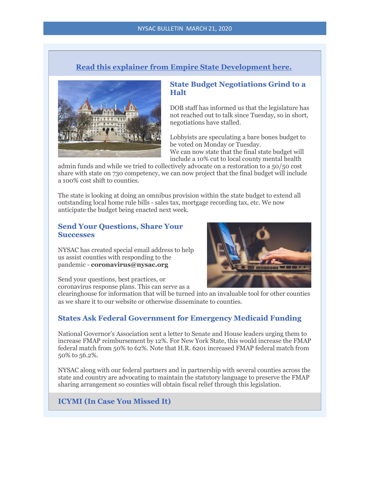# **[Read this explainer from Empire State Development here.](http://r20.rs6.net/tn.jsp?f=0019hO5ki2Z01dNIBN2Wjai-F6yc18BqK1CvW6ymCoqKKY1EF7ZaqadpqCe2pv6eGNYZTH2Bj-ktzv7oDoSqqBjqpz2CURmuoL8DZEQVQNA7i4pSgps7eF5zKRcyFDyIT6avkcFiQwjgmodxoynTz_XDEbxdP5lPulMd8S24tB3NjcjfGJRB8JBIQ==&c=w7gsszvNU_sFhZfHUjdVSA6xmovdx2Kz28vxo0Zu0WONUhF6Fk3akg==&ch=uhMfXAiiwTiEdBUDXOm2KCZomT4uPMj-aaf-3Ew5ffRG2H3qpAehBw==)**



### **State Budget Negotiations Grind to a Halt**

DOB staff has informed us that the legislature has not reached out to talk since Tuesday, so in short, negotiations have stalled.

Lobbyists are speculating a bare bones budget to be voted on Monday or Tuesday.

We can now state that the final state budget will include a 10% cut to local county mental health

admin funds and while we tried to collectively advocate on a restoration to a 50/50 cost share with state on 730 competency, we can now project that the final budget will include a 100% cost shift to counties.

The state is looking at doing an omnibus provision within the state budget to extend all outstanding local home rule bills - sales tax, mortgage recording tax, etc. We now anticipate the budget being enacted next week.

### **Send Your Questions, Share Your Successes**

NYSAC has created special email address to help us assist counties with responding to the pandemic - **coronavirus@nysac.org**



Send your questions, best practices, or coronavirus response plans. This can serve as a

clearinghouse for information that will be turned into an invaluable tool for other counties as we share it to our website or otherwise disseminate to counties.

## **States Ask Federal Government for Emergency Medicaid Funding**

National Governor's Association sent a letter to Senate and House leaders urging them to increase FMAP reimbursement by 12%. For New York State, this would increase the FMAP federal match from 50% to 62%. Note that H.R. 6201 increased FMAP federal match from 50% to 56.2%.

NYSAC along with our federal partners and in partnership with several counties across the state and country are advocating to maintain the statutory language to preserve the FMAP sharing arrangement so counties will obtain fiscal relief through this legislation.

## **ICYMI (In Case You Missed It)**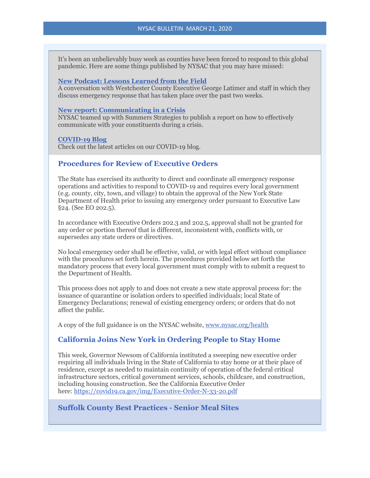It's been an unbelievably busy week as counties have been forced to respond to this global pandemic. Here are some things published by NYSAC that you may have missed:

#### **[New Podcast: Lessons Learned from the Field](http://r20.rs6.net/tn.jsp?f=0019hO5ki2Z01dNIBN2Wjai-F6yc18BqK1CvW6ymCoqKKY1EF7ZaqadplsK98RQ3xFUw6iIEQjn0-EaDC0YCf8jM4CIlHZTFs3sgexlAOV_25FdVtYhj4MdJUzH2ABh-tLGXd-SXBN4ZjHeh8JpWF4gpA-tyK-G71LszPxIQBNtRR3FFdPAEz4AinlzDynycMJL9mbh0TReh3_GNl1t85VQQBlllhVTFgiDUOVnTTynU29W59TBoAqDfFpraqfzpzUjI1OsuHX3sihgLrnXZpM8azmGQ5xxxZM4&c=w7gsszvNU_sFhZfHUjdVSA6xmovdx2Kz28vxo0Zu0WONUhF6Fk3akg==&ch=uhMfXAiiwTiEdBUDXOm2KCZomT4uPMj-aaf-3Ew5ffRG2H3qpAehBw==)**

A conversation with Westchester County Executive George Latimer and staff in which they discuss emergency response that has taken place over the past two weeks.

### **[New report: Communicating in a Crisis](http://r20.rs6.net/tn.jsp?f=0019hO5ki2Z01dNIBN2Wjai-F6yc18BqK1CvW6ymCoqKKY1EF7ZaqadplsK98RQ3xFU2wnRpORsU2OYzDxaBtMzllKKEx-mJZj2D8MdrdOkItv9S9JOzChAaKLEWeQDcvMpha1MY2SnchXMQ-HlcYmt_Hf7WYY78L0Iw6LISoHJoN_Sy_-_Yi5-Z4ANtsiuYGa0CVUKz8t9MgvEzVch4KCemOJWWbnNRw1H&c=w7gsszvNU_sFhZfHUjdVSA6xmovdx2Kz28vxo0Zu0WONUhF6Fk3akg==&ch=uhMfXAiiwTiEdBUDXOm2KCZomT4uPMj-aaf-3Ew5ffRG2H3qpAehBw==)**

NYSAC teamed up with Summers Strategies to publish a report on how to effectively communicate with your constituents during a crisis.

#### **[COVID-19 Blog](http://r20.rs6.net/tn.jsp?f=0019hO5ki2Z01dNIBN2Wjai-F6yc18BqK1CvW6ymCoqKKY1EF7ZaqadpqCe2pv6eGNY2q5Pnsrdxca-GrqmgNSd6_i8SaYbSsvDf39xYvDk1_DE8S0iCx7EEyMsniyP3cnYUS-aUfygetXpl3x6-FVDT3xKTleXs4eaK5Hy2ANifrXHN-FkqLbJMw==&c=w7gsszvNU_sFhZfHUjdVSA6xmovdx2Kz28vxo0Zu0WONUhF6Fk3akg==&ch=uhMfXAiiwTiEdBUDXOm2KCZomT4uPMj-aaf-3Ew5ffRG2H3qpAehBw==)**

Check out the latest articles on our COVID-19 blog.

### **Procedures for Review of Executive Orders**

The State has exercised its authority to direct and coordinate all emergency response operations and activities to respond to COVID-19 and requires every local government (e.g. county, city, town, and village) to obtain the approval of the New York State Department of Health prior to issuing any emergency order pursuant to Executive Law §24. (See EO 202.5).

In accordance with Executive Orders 202.3 and 202.5, approval shall not be granted for any order or portion thereof that is different, inconsistent with, conflicts with, or supersedes any state orders or directives.

No local emergency order shall be effective, valid, or with legal effect without compliance with the procedures set forth herein. The procedures provided below set forth the mandatory process that every local government must comply with to submit a request to the Department of Health.

This process does not apply to and does not create a new state approval process for: the issuance of quarantine or isolation orders to specified individuals; local State of Emergency Declarations; renewal of existing emergency orders; or orders that do not affect the public.

A copy of the full guidance is on the NYSAC website, [www.nysac.org/health](http://r20.rs6.net/tn.jsp?f=0019hO5ki2Z01dNIBN2Wjai-F6yc18BqK1CvW6ymCoqKKY1EF7ZaqadpoVNN5chOgQwDHH6ztavcjEiAxBeQlwAI3LTSDXGA2Aus1qMkNA6FbjnyReKc44geCTAczIeChUMiBeyckFOdmxlWosq6IVSuA==&c=w7gsszvNU_sFhZfHUjdVSA6xmovdx2Kz28vxo0Zu0WONUhF6Fk3akg==&ch=uhMfXAiiwTiEdBUDXOm2KCZomT4uPMj-aaf-3Ew5ffRG2H3qpAehBw==) 

### **California Joins New York in Ordering People to Stay Home**

This week, Governor Newsom of California instituted a sweeping new executive order requiring all individuals living in the State of California to stay home or at their place of residence, except as needed to maintain continuity of operation of the federal critical infrastructure sectors, critical government services, schools, childcare, and construction, including housing construction. See the California Executive Order here: [https://covid19.ca.gov/img/Executive-Order-N-33-20.pdf](http://r20.rs6.net/tn.jsp?f=0019hO5ki2Z01dNIBN2Wjai-F6yc18BqK1CvW6ymCoqKKY1EF7ZaqadpqCe2pv6eGNYqJFoitLZzNCPQsYdd1wV28snW8Ia5gKplgzLgBljJZ0uLKzGQhQDaUT7oIMMTJFhNC6FrqH6vvmin9r66d5aM9G8nFxuTKKDkibn_O9PD9Joa7Z5b8f5eQhRTd-TIoJH&c=w7gsszvNU_sFhZfHUjdVSA6xmovdx2Kz28vxo0Zu0WONUhF6Fk3akg==&ch=uhMfXAiiwTiEdBUDXOm2KCZomT4uPMj-aaf-3Ew5ffRG2H3qpAehBw==)

## **Suffolk County Best Practices - Senior Meal Sites**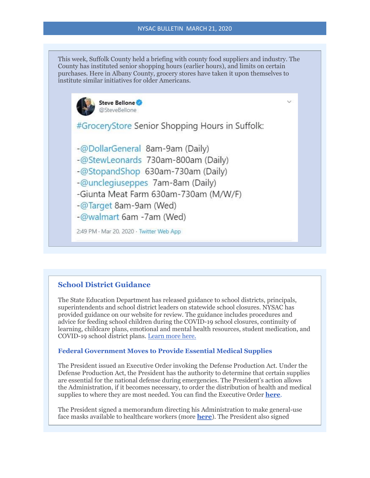This week, Suffolk County held a briefing with county food suppliers and industry. The County has instituted senior shopping hours (earlier hours), and limits on certain purchases. Here in Albany County, grocery stores have taken it upon themselves to institute similar initiatives for older Americans.



#GroceryStore Senior Shopping Hours in Suffolk:

- -@DollarGeneral 8am-9am (Daily)
- -@StewLeonards 730am-800am (Daily)
- -@StopandShop 630am-730am (Daily)
- -@unclegiuseppes 7am-8am (Daily)
- -Giunta Meat Farm 630am-730am (M/W/F)
- -@Target 8am-9am (Wed)
- -@walmart 6am -7am (Wed)

2:49 PM · Mar 20, 2020 · Twitter Web App

# **School District Guidance**

The State Education Department has released guidance to school districts, principals, superintendents and school district leaders on statewide school closures. NYSAC has provided guidance on our website for review. The guidance includes procedures and advice for feeding school children during the COVID-19 school closures, continuity of learning, childcare plans, emotional and mental health resources, student medication, and COVID-19 school district plans. [Learn more here.](http://r20.rs6.net/tn.jsp?f=0019hO5ki2Z01dNIBN2Wjai-F6yc18BqK1CvW6ymCoqKKY1EF7ZaqadpqCe2pv6eGNYF1McknX37dIWKRvJWWU8mV5Sl5E4DbzpcELGs2mQ76l2Q87TUQ2IZzOkXTWuAg4314Sv010LQEp1lmQNjbZpZrfpxnbFSfIfbtELOOmEyx8czfuXKaIK2KI4U5JrIyTw_rVAARg-YT0vvhXStdn7wMUghhfsoV2p-5K0gztLcAY39YSdoklM5E0KhQAsYjwouonMKlcpYU8ZksI47PPFKg==&c=w7gsszvNU_sFhZfHUjdVSA6xmovdx2Kz28vxo0Zu0WONUhF6Fk3akg==&ch=uhMfXAiiwTiEdBUDXOm2KCZomT4uPMj-aaf-3Ew5ffRG2H3qpAehBw==)

### **Federal Government Moves to Provide Essential Medical Supplies**

The President issued an Executive Order invoking the Defense Production Act. Under the Defense Production Act, the President has the authority to determine that certain supplies are essential for the national defense during emergencies. The President's action allows the Administration, if it becomes necessary, to order the distribution of health and medical supplies to where they are most needed. You can find the Executive Order **[here](http://r20.rs6.net/tn.jsp?f=0019hO5ki2Z01dNIBN2Wjai-F6yc18BqK1CvW6ymCoqKKY1EF7ZaqadpqCe2pv6eGNYm-UV-tcbj5URzmqbH9xxmfMGJUjVtGpGZF47I5fY460FAgPsRdCcoHv-LIF_rIXhG6Cg55uk95lZxa3iC3jP9vGD3xJYE4WIxQqAygimrW1EabSsd9iLz6_QU5mibTNQPSiCgukAYFaSy29Xx15bZY14b7yjlDCNXZD91mMbR_gd2pNAfcz2ewQNrry-AOHOlwPN4v1olxCcvVjJxdfhD81Y8eq4Mbdzhq9TX-WtU4g=&c=w7gsszvNU_sFhZfHUjdVSA6xmovdx2Kz28vxo0Zu0WONUhF6Fk3akg==&ch=uhMfXAiiwTiEdBUDXOm2KCZomT4uPMj-aaf-3Ew5ffRG2H3qpAehBw==)**.

The President signed a memorandum directing his Administration to make general-use face masks available to healthcare workers (more **[here](http://r20.rs6.net/tn.jsp?f=0019hO5ki2Z01dNIBN2Wjai-F6yc18BqK1CvW6ymCoqKKY1EF7ZaqadpqCe2pv6eGNYR6m_h1Awp8VB3mhN0WnQKIgIipRFVLweXPrQW6oxg2CMbx4vbT8nqIr0yyOVv4jC99c93DyzsUl-AG7TVrJ0NOcgfdCpMbig1GQCqrmC4NqvNBvrXed6fFrVW3IJ5iAdr-AWj69cYDKxSOjOIMKv2g38kMzyvJ59&c=w7gsszvNU_sFhZfHUjdVSA6xmovdx2Kz28vxo0Zu0WONUhF6Fk3akg==&ch=uhMfXAiiwTiEdBUDXOm2KCZomT4uPMj-aaf-3Ew5ffRG2H3qpAehBw==)**). The President also signed